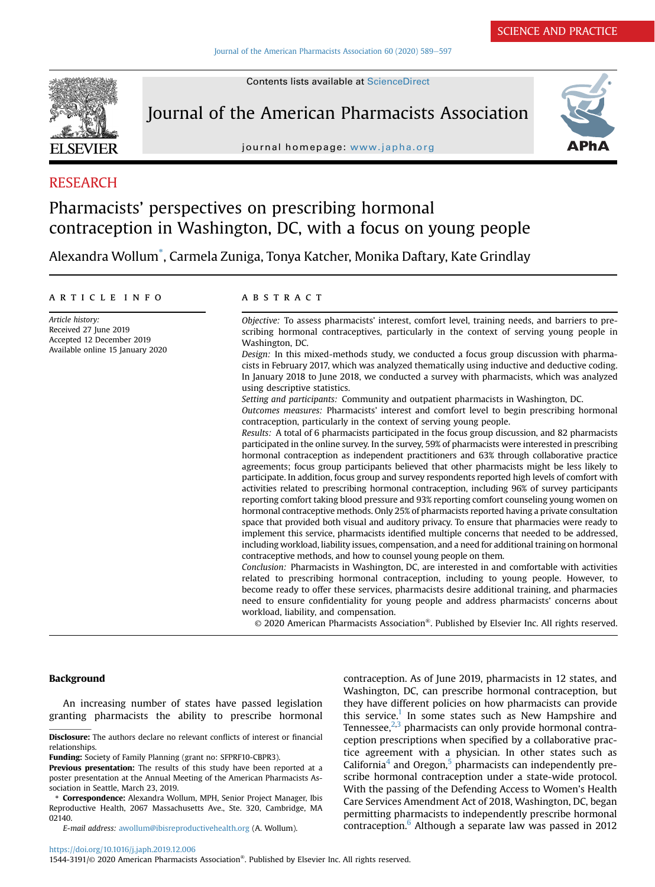[Journal of the American Pharmacists Association 60 \(2020\) 589](https://doi.org/10.1016/j.japh.2019.12.006)–[597](https://doi.org/10.1016/j.japh.2019.12.006)



Contents lists available at [ScienceDirect](www.sciencedirect.com/science/journal/15443191)

Journal of the American Pharmacists Association



journal homepage: <www.japha.org>

## RESEARCH

# Pharmacists' perspectives on prescribing hormonal contraception in Washington, DC, with a focus on young people

Alexandra Wollum[\\*](#page-0-0) , Carmela Zuniga, Tonya Katcher, Monika Daftary, Kate Grindlay

## article info

Article history: Received 27 June 2019 Accepted 12 December 2019 Available online 15 January 2020

## **ABSTRACT**

Objective: To assess pharmacists' interest, comfort level, training needs, and barriers to prescribing hormonal contraceptives, particularly in the context of serving young people in Washington, DC.

Design: In this mixed-methods study, we conducted a focus group discussion with pharmacists in February 2017, which was analyzed thematically using inductive and deductive coding. In January 2018 to June 2018, we conducted a survey with pharmacists, which was analyzed using descriptive statistics.

Setting and participants: Community and outpatient pharmacists in Washington, DC.

Outcomes measures: Pharmacists' interest and comfort level to begin prescribing hormonal contraception, particularly in the context of serving young people.

Results: A total of 6 pharmacists participated in the focus group discussion, and 82 pharmacists participated in the online survey. In the survey, 59% of pharmacists were interested in prescribing hormonal contraception as independent practitioners and 63% through collaborative practice agreements; focus group participants believed that other pharmacists might be less likely to participate. In addition, focus group and survey respondents reported high levels of comfort with activities related to prescribing hormonal contraception, including 96% of survey participants reporting comfort taking blood pressure and 93% reporting comfort counseling young women on hormonal contraceptive methods. Only 25% of pharmacists reported having a private consultation space that provided both visual and auditory privacy. To ensure that pharmacies were ready to implement this service, pharmacists identified multiple concerns that needed to be addressed, including workload, liability issues, compensation, and a need for additional training on hormonal contraceptive methods, and how to counsel young people on them.

Conclusion: Pharmacists in Washington, DC, are interested in and comfortable with activities related to prescribing hormonal contraception, including to young people. However, to become ready to offer these services, pharmacists desire additional training, and pharmacies need to ensure confidentiality for young people and address pharmacists' concerns about workload, liability, and compensation.

© 2020 American Pharmacists Association®. Published by Elsevier Inc. All rights reserved.

## Background

An increasing number of states have passed legislation granting pharmacists the ability to prescribe hormonal contraception. As of June 2019, pharmacists in 12 states, and Washington, DC, can prescribe hormonal contraception, but they have different policies on how pharmacists can provide this service.<sup>[1](#page-7-0)</sup> In some states such as New Hampshire and Tennessee, $2,3$  $2,3$  pharmacists can only provide hormonal contraception prescriptions when specified by a collaborative practice agreement with a physician. In other states such as California $4$  and Oregon, $5$  pharmacists can independently prescribe hormonal contraception under a state-wide protocol. With the passing of the Defending Access to Women's Health Care Services Amendment Act of 2018, Washington, DC, began permitting pharmacists to independently prescribe hormonal contraception.<sup>6</sup> Although a separate law was passed in 2012

Disclosure: The authors declare no relevant conflicts of interest or financial relationships.

Funding: Society of Family Planning (grant no: SFPRF10-CBPR3).

Previous presentation: The results of this study have been reported at a poster presentation at the Annual Meeting of the American Pharmacists Association in Seattle, March 23, 2019.

<span id="page-0-0"></span>Correspondence: Alexandra Wollum, MPH, Senior Project Manager, Ibis Reproductive Health, 2067 Massachusetts Ave., Ste. 320, Cambridge, MA 02140.

E-mail address: [awollum@ibisreproductivehealth.org](mailto:awollum@ibisreproductivehealth.org) (A. Wollum).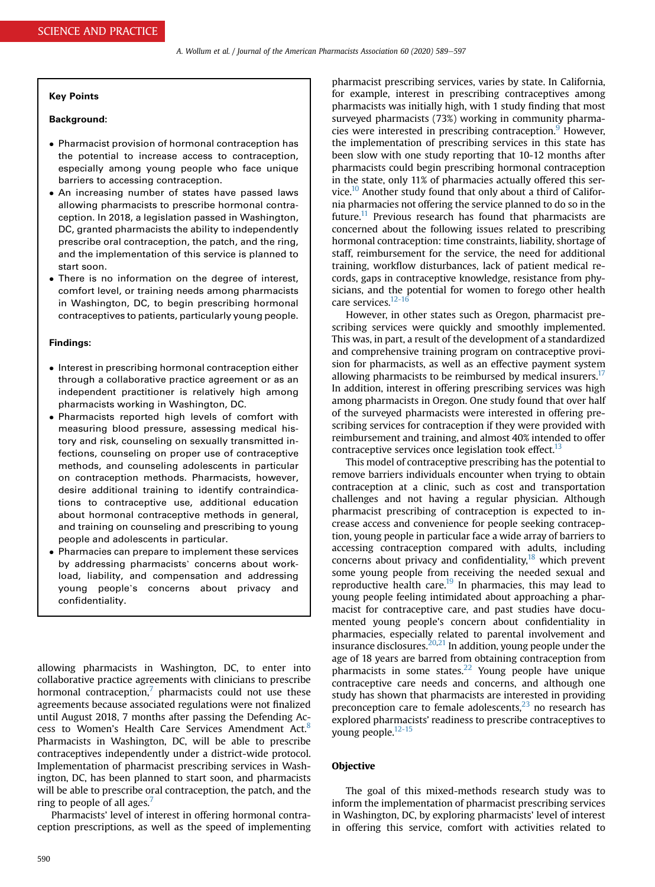#### Key Points

## Background:

- Pharmacist provision of hormonal contraception has the potential to increase access to contraception, especially among young people who face unique barriers to accessing contraception.
- An increasing number of states have passed laws allowing pharmacists to prescribe hormonal contraception. In 2018, a legislation passed in Washington, DC, granted pharmacists the ability to independently prescribe oral contraception, the patch, and the ring, and the implementation of this service is planned to start soon.
- There is no information on the degree of interest, comfort level, or training needs among pharmacists in Washington, DC, to begin prescribing hormonal contraceptives to patients, particularly young people.

## Findings:

- Interest in prescribing hormonal contraception either through a collaborative practice agreement or as an independent practitioner is relatively high among pharmacists working in Washington, DC.
- Pharmacists reported high levels of comfort with measuring blood pressure, assessing medical history and risk, counseling on sexually transmitted infections, counseling on proper use of contraceptive methods, and counseling adolescents in particular on contraception methods. Pharmacists, however, desire additional training to identify contraindications to contraceptive use, additional education about hormonal contraceptive methods in general, and training on counseling and prescribing to young people and adolescents in particular.
- Pharmacies can prepare to implement these services by addressing pharmacists' concerns about workload, liability, and compensation and addressing young people's concerns about privacy and confidentiality.

allowing pharmacists in Washington, DC, to enter into collaborative practice agreements with clinicians to prescribe hormonal contraception, $\theta$  pharmacists could not use these agreements because associated regulations were not finalized until August 2018, 7 months after passing the Defending Access to Women's Health Care Services Amendment Act.<sup>8</sup> Pharmacists in Washington, DC, will be able to prescribe contraceptives independently under a district-wide protocol. Implementation of pharmacist prescribing services in Washington, DC, has been planned to start soon, and pharmacists will be able to prescribe oral contraception, the patch, and the ring to people of all ages.<sup>[7](#page-7-6)</sup>

Pharmacists' level of interest in offering hormonal contraception prescriptions, as well as the speed of implementing pharmacist prescribing services, varies by state. In California, for example, interest in prescribing contraceptives among pharmacists was initially high, with 1 study finding that most surveyed pharmacists (73%) working in community pharma-cies were interested in prescribing contraception.<sup>[9](#page-7-8)</sup> However, the implementation of prescribing services in this state has been slow with one study reporting that 10-12 months after pharmacists could begin prescribing hormonal contraception in the state, only 11% of pharmacies actually offered this ser-vice.<sup>[10](#page-7-9)</sup> Another study found that only about a third of California pharmacies not offering the service planned to do so in the future.<sup>[11](#page-7-10)</sup> Previous research has found that pharmacists are concerned about the following issues related to prescribing hormonal contraception: time constraints, liability, shortage of staff, reimbursement for the service, the need for additional training, workflow disturbances, lack of patient medical records, gaps in contraceptive knowledge, resistance from physicians, and the potential for women to forego other health care services.<sup>[12-16](#page-7-11)</sup>

However, in other states such as Oregon, pharmacist prescribing services were quickly and smoothly implemented. This was, in part, a result of the development of a standardized and comprehensive training program on contraceptive provision for pharmacists, as well as an effective payment system allowing pharmacists to be reimbursed by medical insurers.<sup>[17](#page-8-0)</sup> In addition, interest in offering prescribing services was high among pharmacists in Oregon. One study found that over half of the surveyed pharmacists were interested in offering prescribing services for contraception if they were provided with reimbursement and training, and almost 40% intended to offer contraceptive services once legislation took effect.<sup>[13](#page-7-12)</sup>

This model of contraceptive prescribing has the potential to remove barriers individuals encounter when trying to obtain contraception at a clinic, such as cost and transportation challenges and not having a regular physician. Although pharmacist prescribing of contraception is expected to increase access and convenience for people seeking contraception, young people in particular face a wide array of barriers to accessing contraception compared with adults, including concerns about privacy and confidentiality, $18$  which prevent some young people from receiving the needed sexual and reproductive health care.<sup>19</sup> In pharmacies, this may lead to young people feeling intimidated about approaching a pharmacist for contraceptive care, and past studies have documented young people's concern about confidentiality in pharmacies, especially related to parental involvement and insurance disclosures. $20,21$  $20,21$  In addition, young people under the age of 18 years are barred from obtaining contraception from pharmacists in some states.<sup>[22](#page-8-5)</sup> Young people have unique contraceptive care needs and concerns, and although one study has shown that pharmacists are interested in providing preconception care to female adolescents, $^{23}$  $^{23}$  $^{23}$  no research has explored pharmacists' readiness to prescribe contraceptives to young people.<sup>12-15</sup>

## **Objective**

The goal of this mixed-methods research study was to inform the implementation of pharmacist prescribing services in Washington, DC, by exploring pharmacists' level of interest in offering this service, comfort with activities related to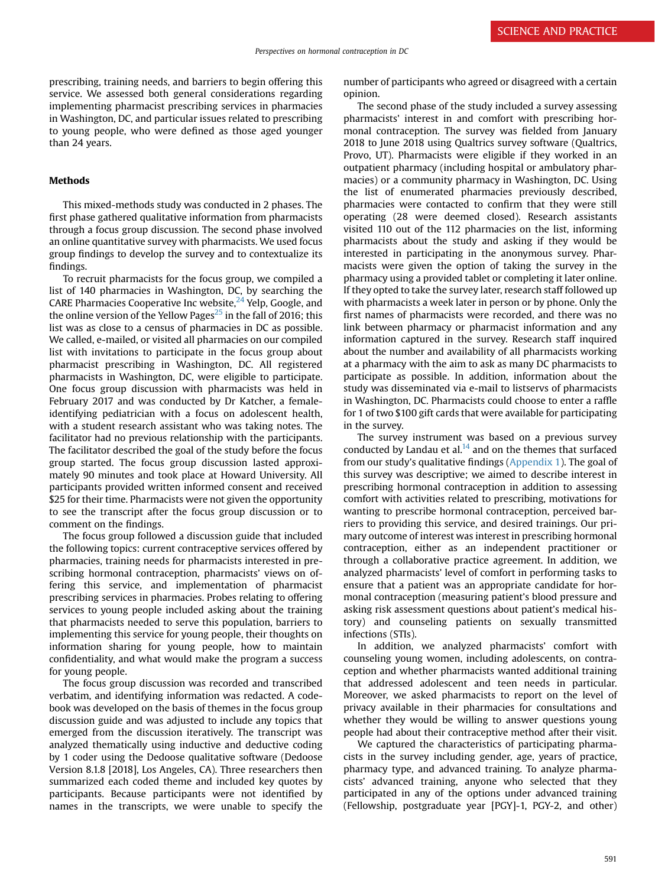prescribing, training needs, and barriers to begin offering this service. We assessed both general considerations regarding implementing pharmacist prescribing services in pharmacies in Washington, DC, and particular issues related to prescribing to young people, who were defined as those aged younger than 24 years.

## Methods

This mixed-methods study was conducted in 2 phases. The first phase gathered qualitative information from pharmacists through a focus group discussion. The second phase involved an online quantitative survey with pharmacists. We used focus group findings to develop the survey and to contextualize its findings.

To recruit pharmacists for the focus group, we compiled a list of 140 pharmacies in Washington, DC, by searching the CARE Pharmacies Cooperative Inc website, $^{24}$  Yelp, Google, and the online version of the Yellow Pages<sup>[25](#page-8-8)</sup> in the fall of 2016; this list was as close to a census of pharmacies in DC as possible. We called, e-mailed, or visited all pharmacies on our compiled list with invitations to participate in the focus group about pharmacist prescribing in Washington, DC. All registered pharmacists in Washington, DC, were eligible to participate. One focus group discussion with pharmacists was held in February 2017 and was conducted by Dr Katcher, a femaleidentifying pediatrician with a focus on adolescent health, with a student research assistant who was taking notes. The facilitator had no previous relationship with the participants. The facilitator described the goal of the study before the focus group started. The focus group discussion lasted approximately 90 minutes and took place at Howard University. All participants provided written informed consent and received \$25 for their time. Pharmacists were not given the opportunity to see the transcript after the focus group discussion or to comment on the findings.

The focus group followed a discussion guide that included the following topics: current contraceptive services offered by pharmacies, training needs for pharmacists interested in prescribing hormonal contraception, pharmacists' views on offering this service, and implementation of pharmacist prescribing services in pharmacies. Probes relating to offering services to young people included asking about the training that pharmacists needed to serve this population, barriers to implementing this service for young people, their thoughts on information sharing for young people, how to maintain confidentiality, and what would make the program a success for young people.

The focus group discussion was recorded and transcribed verbatim, and identifying information was redacted. A codebook was developed on the basis of themes in the focus group discussion guide and was adjusted to include any topics that emerged from the discussion iteratively. The transcript was analyzed thematically using inductive and deductive coding by 1 coder using the Dedoose qualitative software (Dedoose Version 8.1.8 [2018], Los Angeles, CA). Three researchers then summarized each coded theme and included key quotes by participants. Because participants were not identified by names in the transcripts, we were unable to specify the

number of participants who agreed or disagreed with a certain opinion.

The second phase of the study included a survey assessing pharmacists' interest in and comfort with prescribing hormonal contraception. The survey was fielded from January 2018 to June 2018 using Qualtrics survey software (Qualtrics, Provo, UT). Pharmacists were eligible if they worked in an outpatient pharmacy (including hospital or ambulatory pharmacies) or a community pharmacy in Washington, DC. Using the list of enumerated pharmacies previously described, pharmacies were contacted to confirm that they were still operating (28 were deemed closed). Research assistants visited 110 out of the 112 pharmacies on the list, informing pharmacists about the study and asking if they would be interested in participating in the anonymous survey. Pharmacists were given the option of taking the survey in the pharmacy using a provided tablet or completing it later online. If they opted to take the survey later, research staff followed up with pharmacists a week later in person or by phone. Only the first names of pharmacists were recorded, and there was no link between pharmacy or pharmacist information and any information captured in the survey. Research staff inquired about the number and availability of all pharmacists working at a pharmacy with the aim to ask as many DC pharmacists to participate as possible. In addition, information about the study was disseminated via e-mail to listservs of pharmacists in Washington, DC. Pharmacists could choose to enter a raffle for 1 of two \$100 gift cards that were available for participating in the survey.

The survey instrument was based on a previous survey conducted by Landau et al. $^{14}$  and on the themes that surfaced from our study's qualitative findings (Appendix 1). The goal of this survey was descriptive; we aimed to describe interest in prescribing hormonal contraception in addition to assessing comfort with activities related to prescribing, motivations for wanting to prescribe hormonal contraception, perceived barriers to providing this service, and desired trainings. Our primary outcome of interest was interest in prescribing hormonal contraception, either as an independent practitioner or through a collaborative practice agreement. In addition, we analyzed pharmacists' level of comfort in performing tasks to ensure that a patient was an appropriate candidate for hormonal contraception (measuring patient's blood pressure and asking risk assessment questions about patient's medical history) and counseling patients on sexually transmitted infections (STIs).

In addition, we analyzed pharmacists' comfort with counseling young women, including adolescents, on contraception and whether pharmacists wanted additional training that addressed adolescent and teen needs in particular. Moreover, we asked pharmacists to report on the level of privacy available in their pharmacies for consultations and whether they would be willing to answer questions young people had about their contraceptive method after their visit.

We captured the characteristics of participating pharmacists in the survey including gender, age, years of practice, pharmacy type, and advanced training. To analyze pharmacists' advanced training, anyone who selected that they participated in any of the options under advanced training (Fellowship, postgraduate year [PGY]-1, PGY-2, and other)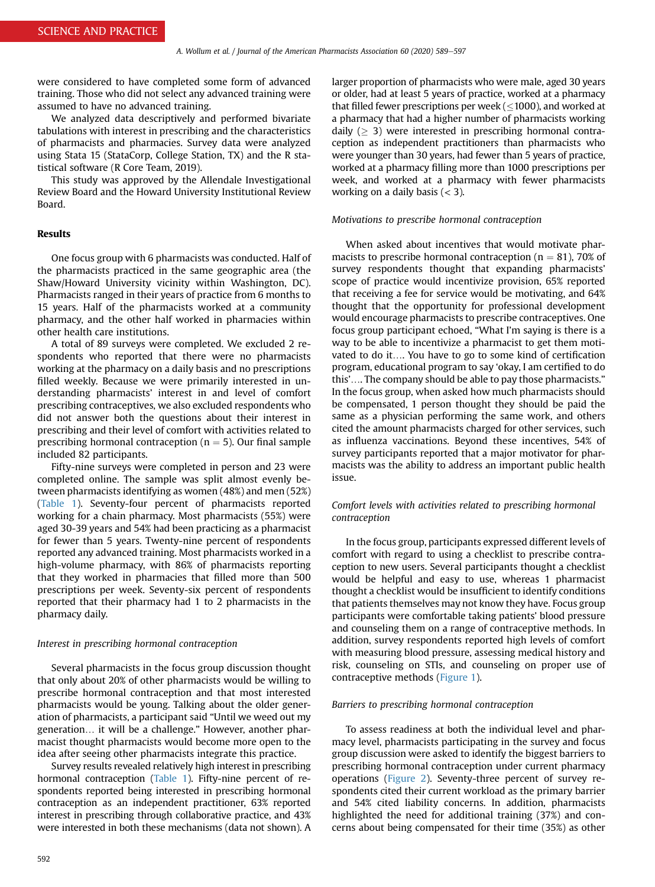were considered to have completed some form of advanced training. Those who did not select any advanced training were assumed to have no advanced training.

We analyzed data descriptively and performed bivariate tabulations with interest in prescribing and the characteristics of pharmacists and pharmacies. Survey data were analyzed using Stata 15 (StataCorp, College Station, TX) and the R statistical software (R Core Team, 2019).

This study was approved by the Allendale Investigational Review Board and the Howard University Institutional Review Board.

## Results

One focus group with 6 pharmacists was conducted. Half of the pharmacists practiced in the same geographic area (the Shaw/Howard University vicinity within Washington, DC). Pharmacists ranged in their years of practice from 6 months to 15 years. Half of the pharmacists worked at a community pharmacy, and the other half worked in pharmacies within other health care institutions.

A total of 89 surveys were completed. We excluded 2 respondents who reported that there were no pharmacists working at the pharmacy on a daily basis and no prescriptions filled weekly. Because we were primarily interested in understanding pharmacists' interest in and level of comfort prescribing contraceptives, we also excluded respondents who did not answer both the questions about their interest in prescribing and their level of comfort with activities related to prescribing hormonal contraception ( $n = 5$ ). Our final sample included 82 participants.

Fifty-nine surveys were completed in person and 23 were completed online. The sample was split almost evenly between pharmacists identifying as women (48%) and men (52%) ([Table 1\)](#page-4-0). Seventy-four percent of pharmacists reported working for a chain pharmacy. Most pharmacists (55%) were aged 30-39 years and 54% had been practicing as a pharmacist for fewer than 5 years. Twenty-nine percent of respondents reported any advanced training. Most pharmacists worked in a high-volume pharmacy, with 86% of pharmacists reporting that they worked in pharmacies that filled more than 500 prescriptions per week. Seventy-six percent of respondents reported that their pharmacy had 1 to 2 pharmacists in the pharmacy daily.

#### Interest in prescribing hormonal contraception

Several pharmacists in the focus group discussion thought that only about 20% of other pharmacists would be willing to prescribe hormonal contraception and that most interested pharmacists would be young. Talking about the older generation of pharmacists, a participant said "Until we weed out my generation… it will be a challenge." However, another pharmacist thought pharmacists would become more open to the idea after seeing other pharmacists integrate this practice.

Survey results revealed relatively high interest in prescribing hormonal contraception [\(Table 1\)](#page-4-0). Fifty-nine percent of respondents reported being interested in prescribing hormonal contraception as an independent practitioner, 63% reported interest in prescribing through collaborative practice, and 43% were interested in both these mechanisms (data not shown). A

592

larger proportion of pharmacists who were male, aged 30 years or older, had at least 5 years of practice, worked at a pharmacy that filled fewer prescriptions per week ( $\leq$ 1000), and worked at a pharmacy that had a higher number of pharmacists working daily ( $\geq$  3) were interested in prescribing hormonal contraception as independent practitioners than pharmacists who were younger than 30 years, had fewer than 5 years of practice, worked at a pharmacy filling more than 1000 prescriptions per week, and worked at a pharmacy with fewer pharmacists working on a daily basis  $(< 3)$ .

#### Motivations to prescribe hormonal contraception

When asked about incentives that would motivate pharmacists to prescribe hormonal contraception ( $n = 81$ ), 70% of survey respondents thought that expanding pharmacists' scope of practice would incentivize provision, 65% reported that receiving a fee for service would be motivating, and 64% thought that the opportunity for professional development would encourage pharmacists to prescribe contraceptives. One focus group participant echoed, "What I'm saying is there is a way to be able to incentivize a pharmacist to get them motivated to do it…. You have to go to some kind of certification program, educational program to say 'okay, I am certified to do this'…. The company should be able to pay those pharmacists." In the focus group, when asked how much pharmacists should be compensated, 1 person thought they should be paid the same as a physician performing the same work, and others cited the amount pharmacists charged for other services, such as influenza vaccinations. Beyond these incentives, 54% of survey participants reported that a major motivator for pharmacists was the ability to address an important public health issue.

## Comfort levels with activities related to prescribing hormonal contraception

In the focus group, participants expressed different levels of comfort with regard to using a checklist to prescribe contraception to new users. Several participants thought a checklist would be helpful and easy to use, whereas 1 pharmacist thought a checklist would be insufficient to identify conditions that patients themselves may not know they have. Focus group participants were comfortable taking patients' blood pressure and counseling them on a range of contraceptive methods. In addition, survey respondents reported high levels of comfort with measuring blood pressure, assessing medical history and risk, counseling on STIs, and counseling on proper use of contraceptive methods [\(Figure 1\)](#page-5-0).

#### Barriers to prescribing hormonal contraception

To assess readiness at both the individual level and pharmacy level, pharmacists participating in the survey and focus group discussion were asked to identify the biggest barriers to prescribing hormonal contraception under current pharmacy operations ([Figure 2](#page-6-0)). Seventy-three percent of survey respondents cited their current workload as the primary barrier and 54% cited liability concerns. In addition, pharmacists highlighted the need for additional training (37%) and concerns about being compensated for their time (35%) as other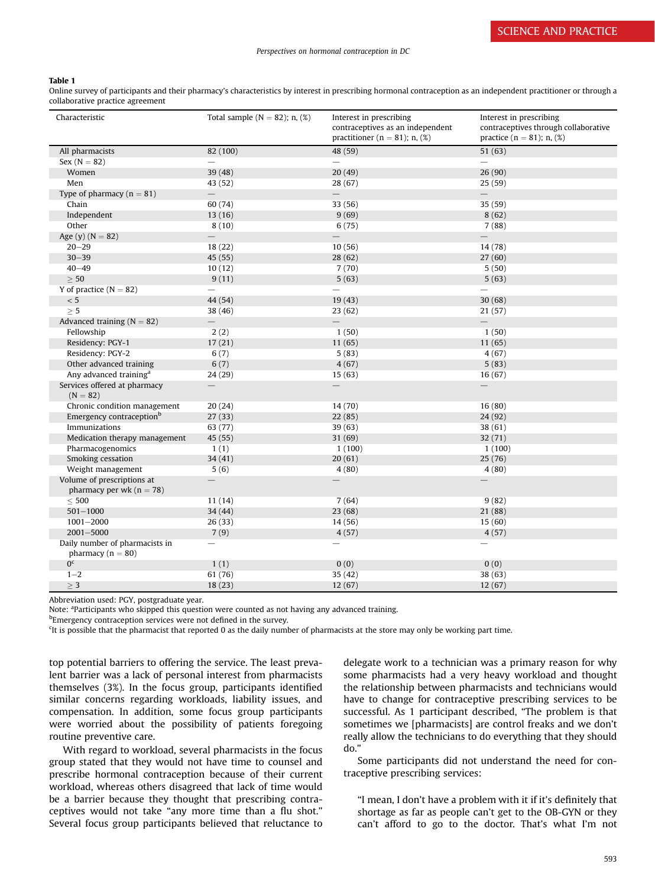## <span id="page-4-0"></span>Table 1

Online survey of participants and their pharmacy's characteristics by interest in prescribing hormonal contraception as an independent practitioner or through a collaborative practice agreement

| All pharmacists<br>82 (100)<br>48 (59)<br>51(63)<br>$Sex (N = 82)$<br>$\overline{\phantom{0}}$<br>$\overline{\phantom{0}}$<br>$\overline{\phantom{0}}$<br>39 (48)<br>Women<br>20(49)<br>26(90)<br>Men<br>43 (52)<br>28 (67)<br>25(59)<br>Type of pharmacy $(n = 81)$<br>$\qquad \qquad -$<br>$-$<br>$\overline{\phantom{0}}$<br>Chain<br>60 (74)<br>33 (56)<br>35(59)<br>Independent<br>13(16)<br>9(69)<br>8(62)<br>Other<br>8(10)<br>6(75)<br>7(88)<br>Age (y) $(N = 82)$<br>$\qquad \qquad -$<br>$\overline{\phantom{0}}$<br>$\overline{\phantom{0}}$<br>$20 - 29$<br>18(22)<br>10(56)<br>14 (78)<br>$30 - 39$<br>45 (55)<br>28(62)<br>27(60)<br>$40 - 49$<br>10(12)<br>7(70)<br>5(50)<br>$\geq 50$<br>5(63)<br>5(63)<br>9(11)<br>Y of practice $(N = 82)$<br>$\overline{\phantom{0}}$<br>$\overline{\phantom{0}}$<br>44 (54)<br>< 5<br>19(43)<br>30(68)<br>$\geq 5$<br>38 (46)<br>21(57)<br>23(62)<br>$\qquad \qquad -$<br>Advanced training $(N = 82)$<br>$\overline{\phantom{0}}$<br>$\overline{\phantom{0}}$<br>Fellowship<br>2(2)<br>1(50)<br>1(50)<br>Residency: PGY-1<br>17(21)<br>11(65)<br>11(65)<br>4(67)<br>Residency: PGY-2<br>6(7)<br>5(83)<br>Other advanced training<br>6(7)<br>4(67)<br>5(83)<br>Any advanced training <sup>a</sup><br>24 (29)<br>15(63)<br>16(67)<br>Services offered at pharmacy<br>$\qquad \qquad -$<br>$\overline{\phantom{0}}$<br>$\overline{\phantom{0}}$<br>$(N = 82)$<br>Chronic condition management<br>20(24)<br>14 (70)<br>16(80)<br>Emergency contraception <sup>b</sup><br>27(33)<br>22(85)<br>24 (92)<br>Immunizations<br>63 (77)<br>39 (63)<br>38(61) | Characteristic | Total sample $(N = 82)$ ; n, $(\%)$ | Interest in prescribing<br>contraceptives as an independent<br>practitioner ( $n = 81$ ); n, (%) | Interest in prescribing<br>contraceptives through collaborative<br>practice ( $n = 81$ ); n, (%) |
|--------------------------------------------------------------------------------------------------------------------------------------------------------------------------------------------------------------------------------------------------------------------------------------------------------------------------------------------------------------------------------------------------------------------------------------------------------------------------------------------------------------------------------------------------------------------------------------------------------------------------------------------------------------------------------------------------------------------------------------------------------------------------------------------------------------------------------------------------------------------------------------------------------------------------------------------------------------------------------------------------------------------------------------------------------------------------------------------------------------------------------------------------------------------------------------------------------------------------------------------------------------------------------------------------------------------------------------------------------------------------------------------------------------------------------------------------------------------------------------------------------------------------------------------------------------------------------------------------------|----------------|-------------------------------------|--------------------------------------------------------------------------------------------------|--------------------------------------------------------------------------------------------------|
|                                                                                                                                                                                                                                                                                                                                                                                                                                                                                                                                                                                                                                                                                                                                                                                                                                                                                                                                                                                                                                                                                                                                                                                                                                                                                                                                                                                                                                                                                                                                                                                                        |                |                                     |                                                                                                  |                                                                                                  |
|                                                                                                                                                                                                                                                                                                                                                                                                                                                                                                                                                                                                                                                                                                                                                                                                                                                                                                                                                                                                                                                                                                                                                                                                                                                                                                                                                                                                                                                                                                                                                                                                        |                |                                     |                                                                                                  |                                                                                                  |
|                                                                                                                                                                                                                                                                                                                                                                                                                                                                                                                                                                                                                                                                                                                                                                                                                                                                                                                                                                                                                                                                                                                                                                                                                                                                                                                                                                                                                                                                                                                                                                                                        |                |                                     |                                                                                                  |                                                                                                  |
|                                                                                                                                                                                                                                                                                                                                                                                                                                                                                                                                                                                                                                                                                                                                                                                                                                                                                                                                                                                                                                                                                                                                                                                                                                                                                                                                                                                                                                                                                                                                                                                                        |                |                                     |                                                                                                  |                                                                                                  |
|                                                                                                                                                                                                                                                                                                                                                                                                                                                                                                                                                                                                                                                                                                                                                                                                                                                                                                                                                                                                                                                                                                                                                                                                                                                                                                                                                                                                                                                                                                                                                                                                        |                |                                     |                                                                                                  |                                                                                                  |
|                                                                                                                                                                                                                                                                                                                                                                                                                                                                                                                                                                                                                                                                                                                                                                                                                                                                                                                                                                                                                                                                                                                                                                                                                                                                                                                                                                                                                                                                                                                                                                                                        |                |                                     |                                                                                                  |                                                                                                  |
|                                                                                                                                                                                                                                                                                                                                                                                                                                                                                                                                                                                                                                                                                                                                                                                                                                                                                                                                                                                                                                                                                                                                                                                                                                                                                                                                                                                                                                                                                                                                                                                                        |                |                                     |                                                                                                  |                                                                                                  |
|                                                                                                                                                                                                                                                                                                                                                                                                                                                                                                                                                                                                                                                                                                                                                                                                                                                                                                                                                                                                                                                                                                                                                                                                                                                                                                                                                                                                                                                                                                                                                                                                        |                |                                     |                                                                                                  |                                                                                                  |
|                                                                                                                                                                                                                                                                                                                                                                                                                                                                                                                                                                                                                                                                                                                                                                                                                                                                                                                                                                                                                                                                                                                                                                                                                                                                                                                                                                                                                                                                                                                                                                                                        |                |                                     |                                                                                                  |                                                                                                  |
|                                                                                                                                                                                                                                                                                                                                                                                                                                                                                                                                                                                                                                                                                                                                                                                                                                                                                                                                                                                                                                                                                                                                                                                                                                                                                                                                                                                                                                                                                                                                                                                                        |                |                                     |                                                                                                  |                                                                                                  |
|                                                                                                                                                                                                                                                                                                                                                                                                                                                                                                                                                                                                                                                                                                                                                                                                                                                                                                                                                                                                                                                                                                                                                                                                                                                                                                                                                                                                                                                                                                                                                                                                        |                |                                     |                                                                                                  |                                                                                                  |
|                                                                                                                                                                                                                                                                                                                                                                                                                                                                                                                                                                                                                                                                                                                                                                                                                                                                                                                                                                                                                                                                                                                                                                                                                                                                                                                                                                                                                                                                                                                                                                                                        |                |                                     |                                                                                                  |                                                                                                  |
|                                                                                                                                                                                                                                                                                                                                                                                                                                                                                                                                                                                                                                                                                                                                                                                                                                                                                                                                                                                                                                                                                                                                                                                                                                                                                                                                                                                                                                                                                                                                                                                                        |                |                                     |                                                                                                  |                                                                                                  |
|                                                                                                                                                                                                                                                                                                                                                                                                                                                                                                                                                                                                                                                                                                                                                                                                                                                                                                                                                                                                                                                                                                                                                                                                                                                                                                                                                                                                                                                                                                                                                                                                        |                |                                     |                                                                                                  |                                                                                                  |
|                                                                                                                                                                                                                                                                                                                                                                                                                                                                                                                                                                                                                                                                                                                                                                                                                                                                                                                                                                                                                                                                                                                                                                                                                                                                                                                                                                                                                                                                                                                                                                                                        |                |                                     |                                                                                                  |                                                                                                  |
|                                                                                                                                                                                                                                                                                                                                                                                                                                                                                                                                                                                                                                                                                                                                                                                                                                                                                                                                                                                                                                                                                                                                                                                                                                                                                                                                                                                                                                                                                                                                                                                                        |                |                                     |                                                                                                  |                                                                                                  |
|                                                                                                                                                                                                                                                                                                                                                                                                                                                                                                                                                                                                                                                                                                                                                                                                                                                                                                                                                                                                                                                                                                                                                                                                                                                                                                                                                                                                                                                                                                                                                                                                        |                |                                     |                                                                                                  |                                                                                                  |
|                                                                                                                                                                                                                                                                                                                                                                                                                                                                                                                                                                                                                                                                                                                                                                                                                                                                                                                                                                                                                                                                                                                                                                                                                                                                                                                                                                                                                                                                                                                                                                                                        |                |                                     |                                                                                                  |                                                                                                  |
|                                                                                                                                                                                                                                                                                                                                                                                                                                                                                                                                                                                                                                                                                                                                                                                                                                                                                                                                                                                                                                                                                                                                                                                                                                                                                                                                                                                                                                                                                                                                                                                                        |                |                                     |                                                                                                  |                                                                                                  |
|                                                                                                                                                                                                                                                                                                                                                                                                                                                                                                                                                                                                                                                                                                                                                                                                                                                                                                                                                                                                                                                                                                                                                                                                                                                                                                                                                                                                                                                                                                                                                                                                        |                |                                     |                                                                                                  |                                                                                                  |
|                                                                                                                                                                                                                                                                                                                                                                                                                                                                                                                                                                                                                                                                                                                                                                                                                                                                                                                                                                                                                                                                                                                                                                                                                                                                                                                                                                                                                                                                                                                                                                                                        |                |                                     |                                                                                                  |                                                                                                  |
|                                                                                                                                                                                                                                                                                                                                                                                                                                                                                                                                                                                                                                                                                                                                                                                                                                                                                                                                                                                                                                                                                                                                                                                                                                                                                                                                                                                                                                                                                                                                                                                                        |                |                                     |                                                                                                  |                                                                                                  |
|                                                                                                                                                                                                                                                                                                                                                                                                                                                                                                                                                                                                                                                                                                                                                                                                                                                                                                                                                                                                                                                                                                                                                                                                                                                                                                                                                                                                                                                                                                                                                                                                        |                |                                     |                                                                                                  |                                                                                                  |
|                                                                                                                                                                                                                                                                                                                                                                                                                                                                                                                                                                                                                                                                                                                                                                                                                                                                                                                                                                                                                                                                                                                                                                                                                                                                                                                                                                                                                                                                                                                                                                                                        |                |                                     |                                                                                                  |                                                                                                  |
|                                                                                                                                                                                                                                                                                                                                                                                                                                                                                                                                                                                                                                                                                                                                                                                                                                                                                                                                                                                                                                                                                                                                                                                                                                                                                                                                                                                                                                                                                                                                                                                                        |                |                                     |                                                                                                  |                                                                                                  |
|                                                                                                                                                                                                                                                                                                                                                                                                                                                                                                                                                                                                                                                                                                                                                                                                                                                                                                                                                                                                                                                                                                                                                                                                                                                                                                                                                                                                                                                                                                                                                                                                        |                |                                     |                                                                                                  |                                                                                                  |
| 45 (55)<br>31(69)<br>32(71)<br>Medication therapy management                                                                                                                                                                                                                                                                                                                                                                                                                                                                                                                                                                                                                                                                                                                                                                                                                                                                                                                                                                                                                                                                                                                                                                                                                                                                                                                                                                                                                                                                                                                                           |                |                                     |                                                                                                  |                                                                                                  |
| Pharmacogenomics<br>1(1)<br>1(100)<br>1(100)                                                                                                                                                                                                                                                                                                                                                                                                                                                                                                                                                                                                                                                                                                                                                                                                                                                                                                                                                                                                                                                                                                                                                                                                                                                                                                                                                                                                                                                                                                                                                           |                |                                     |                                                                                                  |                                                                                                  |
| Smoking cessation<br>34(41)<br>20(61)<br>25(76)                                                                                                                                                                                                                                                                                                                                                                                                                                                                                                                                                                                                                                                                                                                                                                                                                                                                                                                                                                                                                                                                                                                                                                                                                                                                                                                                                                                                                                                                                                                                                        |                |                                     |                                                                                                  |                                                                                                  |
| Weight management<br>5(6)<br>4(80)<br>4(80)                                                                                                                                                                                                                                                                                                                                                                                                                                                                                                                                                                                                                                                                                                                                                                                                                                                                                                                                                                                                                                                                                                                                                                                                                                                                                                                                                                                                                                                                                                                                                            |                |                                     |                                                                                                  |                                                                                                  |
| Volume of prescriptions at<br>$\qquad \qquad -$<br>—<br>pharmacy per wk ( $n = 78$ )                                                                                                                                                                                                                                                                                                                                                                                                                                                                                                                                                                                                                                                                                                                                                                                                                                                                                                                                                                                                                                                                                                                                                                                                                                                                                                                                                                                                                                                                                                                   |                |                                     |                                                                                                  |                                                                                                  |
| 7(64)<br>9(82)<br>$\leq 500$<br>11(14)                                                                                                                                                                                                                                                                                                                                                                                                                                                                                                                                                                                                                                                                                                                                                                                                                                                                                                                                                                                                                                                                                                                                                                                                                                                                                                                                                                                                                                                                                                                                                                 |                |                                     |                                                                                                  |                                                                                                  |
| $501 - 1000$<br>34 (44)<br>23(68)<br>21 (88)                                                                                                                                                                                                                                                                                                                                                                                                                                                                                                                                                                                                                                                                                                                                                                                                                                                                                                                                                                                                                                                                                                                                                                                                                                                                                                                                                                                                                                                                                                                                                           |                |                                     |                                                                                                  |                                                                                                  |
| 26(33)<br>15(60)<br>$1001 - 2000$<br>14 (56)                                                                                                                                                                                                                                                                                                                                                                                                                                                                                                                                                                                                                                                                                                                                                                                                                                                                                                                                                                                                                                                                                                                                                                                                                                                                                                                                                                                                                                                                                                                                                           |                |                                     |                                                                                                  |                                                                                                  |
| $2001 - 5000$<br>7(9)<br>4(57)<br>4(57)                                                                                                                                                                                                                                                                                                                                                                                                                                                                                                                                                                                                                                                                                                                                                                                                                                                                                                                                                                                                                                                                                                                                                                                                                                                                                                                                                                                                                                                                                                                                                                |                |                                     |                                                                                                  |                                                                                                  |
| Daily number of pharmacists in<br>$\overline{\phantom{0}}$<br>pharmacy ( $n = 80$ )                                                                                                                                                                                                                                                                                                                                                                                                                                                                                                                                                                                                                                                                                                                                                                                                                                                                                                                                                                                                                                                                                                                                                                                                                                                                                                                                                                                                                                                                                                                    |                |                                     |                                                                                                  |                                                                                                  |
| 0 <sup>c</sup><br>1(1)<br>0(0)<br>0(0)                                                                                                                                                                                                                                                                                                                                                                                                                                                                                                                                                                                                                                                                                                                                                                                                                                                                                                                                                                                                                                                                                                                                                                                                                                                                                                                                                                                                                                                                                                                                                                 |                |                                     |                                                                                                  |                                                                                                  |
| $1 - 2$<br>61 (76)<br>35(42)<br>38 (63)                                                                                                                                                                                                                                                                                                                                                                                                                                                                                                                                                                                                                                                                                                                                                                                                                                                                                                                                                                                                                                                                                                                                                                                                                                                                                                                                                                                                                                                                                                                                                                |                |                                     |                                                                                                  |                                                                                                  |
| $\geq 3$<br>18(23)<br>12(67)<br>12 (67)                                                                                                                                                                                                                                                                                                                                                                                                                                                                                                                                                                                                                                                                                                                                                                                                                                                                                                                                                                                                                                                                                                                                                                                                                                                                                                                                                                                                                                                                                                                                                                |                |                                     |                                                                                                  |                                                                                                  |

Abbreviation used: PGY, postgraduate year.

Note: <sup>a</sup>Participants who skipped this question were counted as not having any advanced training.

<sup>b</sup>Emergency contraception services were not defined in the survey.

c It is possible that the pharmacist that reported 0 as the daily number of pharmacists at the store may only be working part time.

top potential barriers to offering the service. The least prevalent barrier was a lack of personal interest from pharmacists themselves (3%). In the focus group, participants identified similar concerns regarding workloads, liability issues, and compensation. In addition, some focus group participants were worried about the possibility of patients foregoing routine preventive care.

With regard to workload, several pharmacists in the focus group stated that they would not have time to counsel and prescribe hormonal contraception because of their current workload, whereas others disagreed that lack of time would be a barrier because they thought that prescribing contraceptives would not take "any more time than a flu shot." Several focus group participants believed that reluctance to delegate work to a technician was a primary reason for why some pharmacists had a very heavy workload and thought the relationship between pharmacists and technicians would have to change for contraceptive prescribing services to be successful. As 1 participant described, "The problem is that sometimes we [pharmacists] are control freaks and we don't really allow the technicians to do everything that they should do."

Some participants did not understand the need for contraceptive prescribing services:

"I mean, I don't have a problem with it if it's definitely that shortage as far as people can't get to the OB-GYN or they can't afford to go to the doctor. That's what I'm not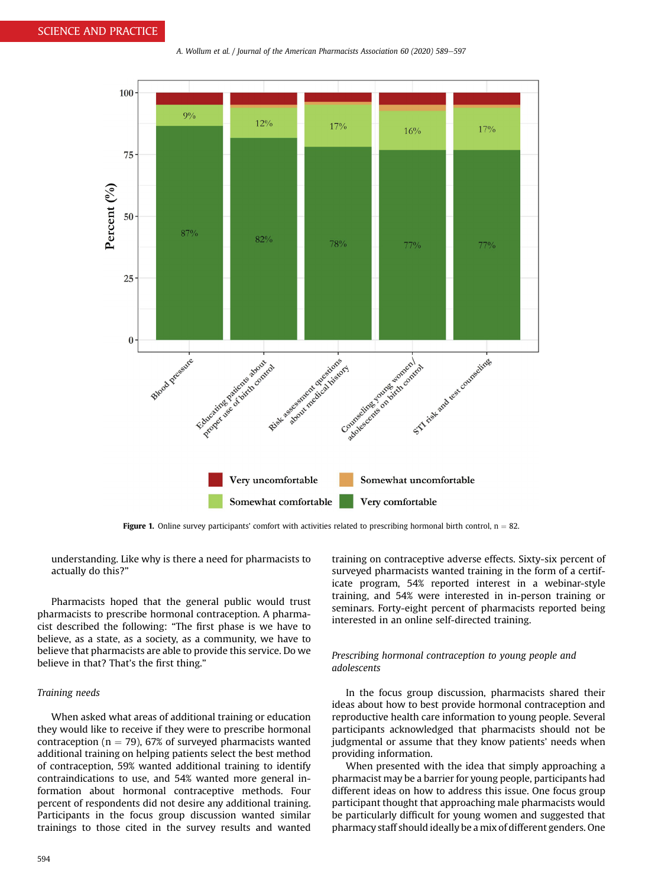A. Wollum et al. / Journal of the American Pharmacists Association 60 (2020) 589-597

<span id="page-5-0"></span>

Figure 1. Online survey participants' comfort with activities related to prescribing hormonal birth control,  $n = 82$ .

understanding. Like why is there a need for pharmacists to actually do this?"

Pharmacists hoped that the general public would trust pharmacists to prescribe hormonal contraception. A pharmacist described the following: "The first phase is we have to believe, as a state, as a society, as a community, we have to believe that pharmacists are able to provide this service. Do we believe in that? That's the first thing."

## Training needs

When asked what areas of additional training or education they would like to receive if they were to prescribe hormonal contraception ( $n = 79$ ), 67% of surveyed pharmacists wanted additional training on helping patients select the best method of contraception, 59% wanted additional training to identify contraindications to use, and 54% wanted more general information about hormonal contraceptive methods. Four percent of respondents did not desire any additional training. Participants in the focus group discussion wanted similar trainings to those cited in the survey results and wanted

training on contraceptive adverse effects. Sixty-six percent of surveyed pharmacists wanted training in the form of a certificate program, 54% reported interest in a webinar-style training, and 54% were interested in in-person training or seminars. Forty-eight percent of pharmacists reported being interested in an online self-directed training.

## Prescribing hormonal contraception to young people and adolescents

In the focus group discussion, pharmacists shared their ideas about how to best provide hormonal contraception and reproductive health care information to young people. Several participants acknowledged that pharmacists should not be judgmental or assume that they know patients' needs when providing information.

When presented with the idea that simply approaching a pharmacist may be a barrier for young people, participants had different ideas on how to address this issue. One focus group participant thought that approaching male pharmacists would be particularly difficult for young women and suggested that pharmacy staff should ideally be a mix of different genders. One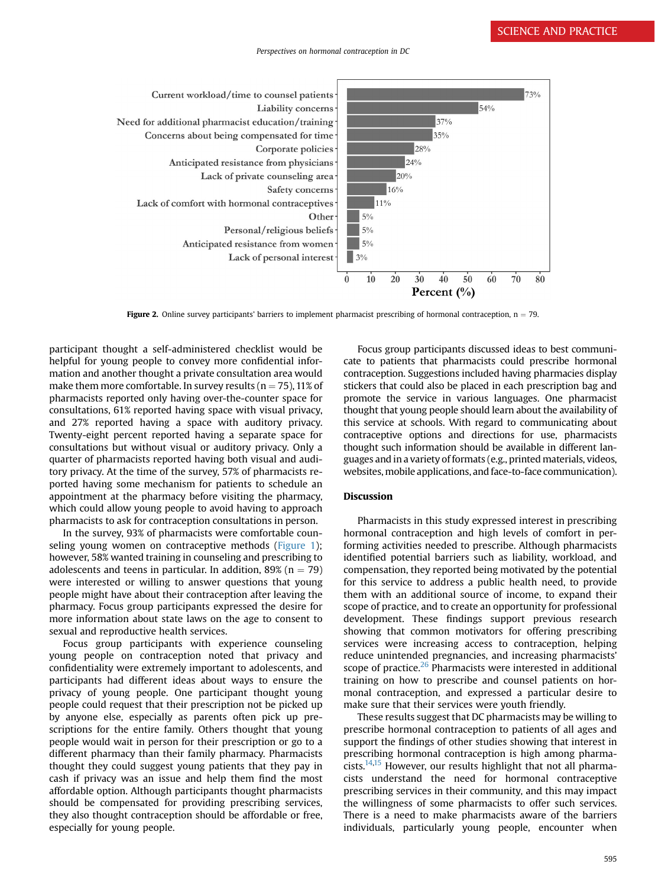<span id="page-6-0"></span>

Figure 2. Online survey participants' barriers to implement pharmacist prescribing of hormonal contraception,  $n = 79$ .

participant thought a self-administered checklist would be helpful for young people to convey more confidential information and another thought a private consultation area would make them more comfortable. In survey results ( $n = 75$ ), 11% of pharmacists reported only having over-the-counter space for consultations, 61% reported having space with visual privacy, and 27% reported having a space with auditory privacy. Twenty-eight percent reported having a separate space for consultations but without visual or auditory privacy. Only a quarter of pharmacists reported having both visual and auditory privacy. At the time of the survey, 57% of pharmacists reported having some mechanism for patients to schedule an appointment at the pharmacy before visiting the pharmacy, which could allow young people to avoid having to approach pharmacists to ask for contraception consultations in person.

In the survey, 93% of pharmacists were comfortable coun-seling young women on contraceptive methods ([Figure 1](#page-5-0)); however, 58% wanted training in counseling and prescribing to adolescents and teens in particular. In addition,  $89\%$  (n = 79) were interested or willing to answer questions that young people might have about their contraception after leaving the pharmacy. Focus group participants expressed the desire for more information about state laws on the age to consent to sexual and reproductive health services.

Focus group participants with experience counseling young people on contraception noted that privacy and confidentiality were extremely important to adolescents, and participants had different ideas about ways to ensure the privacy of young people. One participant thought young people could request that their prescription not be picked up by anyone else, especially as parents often pick up prescriptions for the entire family. Others thought that young people would wait in person for their prescription or go to a different pharmacy than their family pharmacy. Pharmacists thought they could suggest young patients that they pay in cash if privacy was an issue and help them find the most affordable option. Although participants thought pharmacists should be compensated for providing prescribing services, they also thought contraception should be affordable or free, especially for young people.

Focus group participants discussed ideas to best communicate to patients that pharmacists could prescribe hormonal contraception. Suggestions included having pharmacies display stickers that could also be placed in each prescription bag and promote the service in various languages. One pharmacist thought that young people should learn about the availability of this service at schools. With regard to communicating about contraceptive options and directions for use, pharmacists thought such information should be available in different languages and in a variety of formats (e.g., printed materials, videos, websites, mobile applications, and face-to-face communication).

## Discussion

Pharmacists in this study expressed interest in prescribing hormonal contraception and high levels of comfort in performing activities needed to prescribe. Although pharmacists identified potential barriers such as liability, workload, and compensation, they reported being motivated by the potential for this service to address a public health need, to provide them with an additional source of income, to expand their scope of practice, and to create an opportunity for professional development. These findings support previous research showing that common motivators for offering prescribing services were increasing access to contraception, helping reduce unintended pregnancies, and increasing pharmacists' scope of practice.<sup>26</sup> Pharmacists were interested in additional training on how to prescribe and counsel patients on hormonal contraception, and expressed a particular desire to make sure that their services were youth friendly.

These results suggest that DC pharmacists may be willing to prescribe hormonal contraception to patients of all ages and support the findings of other studies showing that interest in prescribing hormonal contraception is high among pharma- $cists.<sup>14,15</sup>$  $cists.<sup>14,15</sup>$  $cists.<sup>14,15</sup>$  However, our results highlight that not all pharmacists understand the need for hormonal contraceptive prescribing services in their community, and this may impact the willingness of some pharmacists to offer such services. There is a need to make pharmacists aware of the barriers individuals, particularly young people, encounter when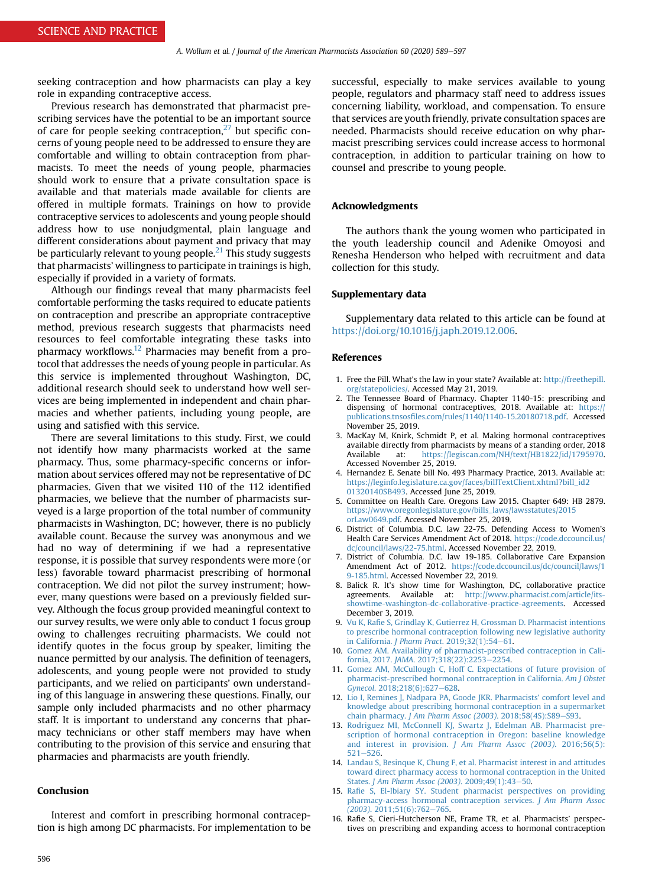seeking contraception and how pharmacists can play a key role in expanding contraceptive access.

Previous research has demonstrated that pharmacist prescribing services have the potential to be an important source of care for people seeking contraception, $27$  but specific concerns of young people need to be addressed to ensure they are comfortable and willing to obtain contraception from pharmacists. To meet the needs of young people, pharmacies should work to ensure that a private consultation space is available and that materials made available for clients are offered in multiple formats. Trainings on how to provide contraceptive services to adolescents and young people should address how to use nonjudgmental, plain language and different considerations about payment and privacy that may be particularly relevant to young people. $^{21}$  $^{21}$  $^{21}$  This study suggests that pharmacists' willingness to participate in trainings is high, especially if provided in a variety of formats.

Although our findings reveal that many pharmacists feel comfortable performing the tasks required to educate patients on contraception and prescribe an appropriate contraceptive method, previous research suggests that pharmacists need resources to feel comfortable integrating these tasks into pharmacy workflows[.12](#page-7-11) Pharmacies may benefit from a protocol that addresses the needs of young people in particular. As this service is implemented throughout Washington, DC, additional research should seek to understand how well services are being implemented in independent and chain pharmacies and whether patients, including young people, are using and satisfied with this service.

There are several limitations to this study. First, we could not identify how many pharmacists worked at the same pharmacy. Thus, some pharmacy-specific concerns or information about services offered may not be representative of DC pharmacies. Given that we visited 110 of the 112 identified pharmacies, we believe that the number of pharmacists surveyed is a large proportion of the total number of community pharmacists in Washington, DC; however, there is no publicly available count. Because the survey was anonymous and we had no way of determining if we had a representative response, it is possible that survey respondents were more (or less) favorable toward pharmacist prescribing of hormonal contraception. We did not pilot the survey instrument; however, many questions were based on a previously fielded survey. Although the focus group provided meaningful context to our survey results, we were only able to conduct 1 focus group owing to challenges recruiting pharmacists. We could not identify quotes in the focus group by speaker, limiting the nuance permitted by our analysis. The definition of teenagers, adolescents, and young people were not provided to study participants, and we relied on participants' own understanding of this language in answering these questions. Finally, our sample only included pharmacists and no other pharmacy staff. It is important to understand any concerns that pharmacy technicians or other staff members may have when contributing to the provision of this service and ensuring that pharmacies and pharmacists are youth friendly.

### Conclusion

Interest and comfort in prescribing hormonal contraception is high among DC pharmacists. For implementation to be successful, especially to make services available to young people, regulators and pharmacy staff need to address issues concerning liability, workload, and compensation. To ensure that services are youth friendly, private consultation spaces are needed. Pharmacists should receive education on why pharmacist prescribing services could increase access to hormonal contraception, in addition to particular training on how to counsel and prescribe to young people.

#### Acknowledgments

The authors thank the young women who participated in the youth leadership council and Adenike Omoyosi and Renesha Henderson who helped with recruitment and data collection for this study.

## Supplementary data

Supplementary data related to this article can be found at <https://doi.org/10.1016/j.japh.2019.12.006>.

#### References

- <span id="page-7-0"></span>1. Free the Pill. What's the law in your state? Available at: [http://freethepill.](http://freethepill.org/statepolicies/) [org/statepolicies/.](http://freethepill.org/statepolicies/) Accessed May 21, 2019.
- <span id="page-7-1"></span>2. The Tennessee Board of Pharmacy. Chapter 1140-15: prescribing and dispensing of hormonal contraceptives, 2018. Available at: [https://](https://publications.tnsosfiles.com/rules/1140/1140-15.20180718.pdf) publications.tnsosfi[les.com/rules/1140/1140-15.20180718.pdf.](https://publications.tnsosfiles.com/rules/1140/1140-15.20180718.pdf) Accessed November 25, 2019.
- <span id="page-7-2"></span>3. MacKay M, Knirk, Schmidt P, et al. Making hormonal contraceptives available directly from pharmacists by means of a standing order, 2018 Available at: [https://legiscan.com/NH/text/HB1822/id/1795970.](https://legiscan.com/NH/text/HB1822/id/1795970) Accessed November 25, 2019.
- <span id="page-7-3"></span>4. Hernandez E. Senate bill No. 493 Pharmacy Practice, 2013. Available at: [https://leginfo.legislature.ca.gov/faces/billTextClient.xhtml?bill\\_id2](https://leginfo.legislature.ca.gov/faces/billTextClient.xhtml?bill_id201320140SB493) [01320140SB493.](https://leginfo.legislature.ca.gov/faces/billTextClient.xhtml?bill_id201320140SB493) Accessed June 25, 2019.
- <span id="page-7-4"></span>5. Committee on Health Care. Oregons Law 2015. Chapter 649: HB 2879. [https://www.oregonlegislature.gov/bills\\_laws/lawsstatutes/2015](https://www.oregonlegislature.gov/bills_laws/lawsstatutes/2015orLaw0649.pdf) [orLaw0649.pdf](https://www.oregonlegislature.gov/bills_laws/lawsstatutes/2015orLaw0649.pdf). Accessed November 25, 2019.
- <span id="page-7-5"></span>6. District of Columbia. D.C. law 22-75. Defending Access to Women's Health Care Services Amendment Act of 2018. [https://code.dccouncil.us/](https://code.dccouncil.us/dc/council/laws/22-75.html) [dc/council/laws/22-75.html.](https://code.dccouncil.us/dc/council/laws/22-75.html) Accessed November 22, 2019.
- <span id="page-7-6"></span>7. District of Columbia. D.C. law 19-185. Collaborative Care Expansion Amendment Act of 2012. [https://code.dccouncil.us/dc/council/laws/1](https://code.dccouncil.us/dc/council/laws/19-185.html) [9-185.html](https://code.dccouncil.us/dc/council/laws/19-185.html). Accessed November 22, 2019.
- <span id="page-7-7"></span>8. Balick R. It's show time for Washington, DC, collaborative practice agreements. Available at: [http://www.pharmacist.com/article/its](http://www.pharmacist.com/article/its-showtime-washington-dc-collaborative-practice-agreements)[showtime-washington-dc-collaborative-practice-agreements](http://www.pharmacist.com/article/its-showtime-washington-dc-collaborative-practice-agreements). Accessed December 3, 2019.
- <span id="page-7-8"></span>9. Vu K, Rafi[e S, Grindlay K, Gutierrez H, Grossman D. Pharmacist intentions](http://refhub.elsevier.com/S1544-3191(19)30593-X/sref9) [to prescribe hormonal contraception following new legislative authority](http://refhub.elsevier.com/S1544-3191(19)30593-X/sref9) in California. J Pharm Pract[. 2019;32\(1\):54](http://refhub.elsevier.com/S1544-3191(19)30593-X/sref9)-[61.](http://refhub.elsevier.com/S1544-3191(19)30593-X/sref9)
- <span id="page-7-9"></span>10. [Gomez AM. Availability of pharmacist-prescribed contraception in Cali-](http://refhub.elsevier.com/S1544-3191(19)30593-X/sref10)fornia, 2017. JAMA[. 2017;318\(22\):2253](http://refhub.elsevier.com/S1544-3191(19)30593-X/sref10)-[2254](http://refhub.elsevier.com/S1544-3191(19)30593-X/sref10).
- <span id="page-7-10"></span>11. [Gomez AM, McCullough C, Hoff C. Expectations of future provision of](http://refhub.elsevier.com/S1544-3191(19)30593-X/sref11) [pharmacist-prescribed hormonal contraception in California.](http://refhub.elsevier.com/S1544-3191(19)30593-X/sref11) Am J Obstet Gynecol[. 2018;218\(6\):627](http://refhub.elsevier.com/S1544-3191(19)30593-X/sref11)-[628](http://refhub.elsevier.com/S1544-3191(19)30593-X/sref11).
- <span id="page-7-11"></span>12. [Lio I, Remines J, Nadpara PA, Goode JKR. Pharmacists](http://refhub.elsevier.com/S1544-3191(19)30593-X/sref12)' comfort level and [knowledge about prescribing hormonal contraception in a supermarket](http://refhub.elsevier.com/S1544-3191(19)30593-X/sref12) chain pharmacy. [J Am Pharm Assoc \(2003\)](http://refhub.elsevier.com/S1544-3191(19)30593-X/sref12). 2018;58(4S):S89-[S93.](http://refhub.elsevier.com/S1544-3191(19)30593-X/sref12)
- <span id="page-7-12"></span>13. [Rodriguez MI, McConnell KJ, Swartz J, Edelman AB. Pharmacist pre](http://refhub.elsevier.com/S1544-3191(19)30593-X/sref13)[scription of hormonal contraception in Oregon: baseline knowledge](http://refhub.elsevier.com/S1544-3191(19)30593-X/sref13) [and interest in provision.](http://refhub.elsevier.com/S1544-3191(19)30593-X/sref13) J Am Pharm Assoc (2003). 2016;56(5):  $521 - 526$  $521 - 526$  $521 - 526$ .
- <span id="page-7-13"></span>14. [Landau S, Besinque K, Chung F, et al. Pharmacist interest in and attitudes](http://refhub.elsevier.com/S1544-3191(19)30593-X/sref14) [toward direct pharmacy access to hormonal contraception in the United](http://refhub.elsevier.com/S1544-3191(19)30593-X/sref14) States. [J Am Pharm Assoc \(2003\)](http://refhub.elsevier.com/S1544-3191(19)30593-X/sref14). 2009;49(1):43-[50.](http://refhub.elsevier.com/S1544-3191(19)30593-X/sref14)
- <span id="page-7-14"></span>15. Rafi[e S, El-Ibiary SY. Student pharmacist perspectives on providing](http://refhub.elsevier.com/S1544-3191(19)30593-X/sref15) [pharmacy-access hormonal contraception services.](http://refhub.elsevier.com/S1544-3191(19)30593-X/sref15) J Am Pharm Assoc  $(2003)$ [. 2011;51\(6\):762](http://refhub.elsevier.com/S1544-3191(19)30593-X/sref15)-[765](http://refhub.elsevier.com/S1544-3191(19)30593-X/sref15).
- 16. Rafie S, Cieri-Hutcherson NE, Frame TR, et al. Pharmacists' perspectives on prescribing and expanding access to hormonal contraception